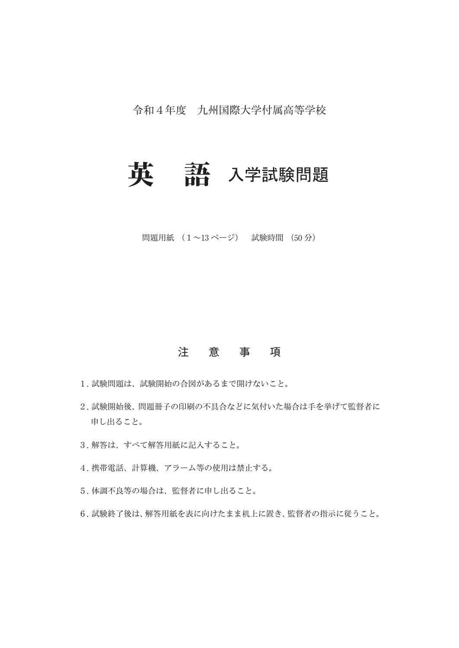## 其 語 入学試験問題

問題用紙 (1~13 ページ) 試験時間 (50 分)

## 注 意 事 項

- 1. 試験問題は、試験開始の合図があるまで開けないこと。
- 2. 試験開始後、問題冊子の印刷の不具合などに気付いた場合は手を挙げて監督者に 申し出ること。
- 3. 解答は、すべて解答用紙に記入すること。
- 4. 携帯電話、計算機、アラーム等の使用は禁止する。
- 5. 体調不良等の場合は、監督者に申し出ること。
- 6. 試験終了後は、解答用紙を表に向けたまま机上に置き、監督者の指示に従うこと。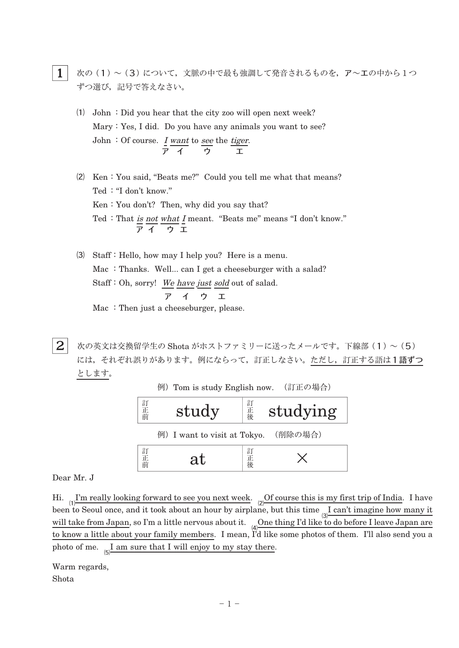- 次の(1)~(3)について、文脈の中で最も強調して発音されるものを、ア~エの中から1つ ずつ選び,記号で答えなさい。
	- (1) John : Did you hear that the city zoo will open next week? Mary: Yes, I did. Do you have any animals you want to see? John : Of course. I want to see the tiger. ア イ ウ エ
	- (2) Ken: You said, "Beats me?" Could you tell me what that means? Ted:''I don't know.'' Ken: You don't? Then, why did you say that? Ted: That *is not what I* meant. "Beats me" means "I don't know." アイ ウェ
	- ⑶ Staff:Hello, how may I help you? Here is a menu. Mac : Thanks. Well... can I get a cheeseburger with a salad? Staff: Oh, sorry! We have just sold out of salad. ア イ ウ Mac : Then just a cheeseburger, please.
- 次の英文は交換留学生の Shota がホストファミリーに送ったメールです。下線部(1) ~(5) には、それぞれ誤りがあります。例にならって、訂正しなさい。ただし、訂正する語は1語ずつ とします。 2



Dear Mr. J

Hi.  $\lim_{(1) \to \infty}$  really looking forward to see you next week.  $\lim_{(2) \to \infty}$  Of course this is my first trip of India. I have been to Seoul once, and it took about an hour by airplane, but this time  $\frac{I}{3}$  can't imagine how many it will take from Japan, so I'm a little nervous about it.  $\frac{One \text{ thing I'd like to do before I leave Japan are}}{47.11}$ to know a little about your family members. I mean,  $\vec{l}'$ d like some photos of them. I'll also send you a photo of me. I am sure that I will enjoy to my stay there.

Warm regards, Shota

1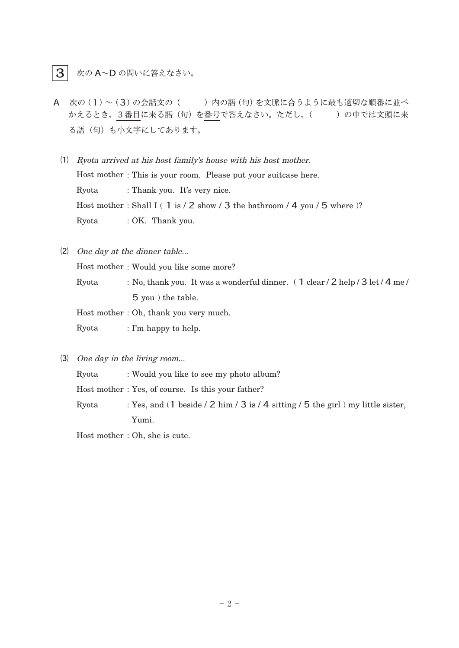- 次の A~D の問いに答えなさい。 3
- A 次の(1)~(3)の会話文の() )内の語(句)を文脈に合うように最も適切な順番に並べ かえるとき、3番目に来る語(句)を番号で答えなさい。ただし、()の中では文頭に来 る語(句)も小文字にしてあります。
	- ⑴ Ryota arrived at his host family's house with his host mother. Host mother : This is your room. Please put your suitcase here. : Thank you. It's very nice. Host mother : Shall I ( 1 is / 2 show / 3 the bathroom / 4 you / 5 where )? : OK. Thank you. Ryota Ryota
	- ⑵ One day at the dinner table...

: Would you like some more? Host mother

: No, thank you. It was a wonderful dinner. ( 1 clear / 2 help / 3 let / 4 me / 5 you ) the table. Ryota

: Oh, thank you very much. Host mother

: I'm happy to help. Ryota

⑶ One day in the living room...

: Would you like to see my photo album? Ryota

Host mother : Yes, of course. Is this your father?

: Yes, and (1 beside / 2 him / 3 is / 4 sitting / 5 the girl ) my little sister, Yumi. Ryota

: Oh, she is cute. Host mother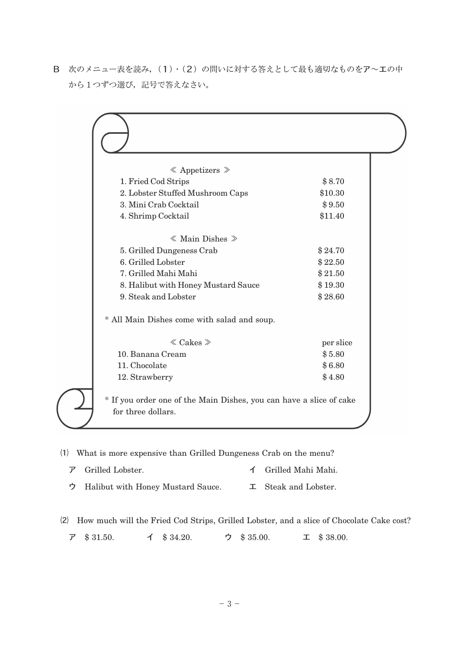B 次のメニュー表を読み, (1)·(2) の問いに対する答えとして最も適切なものをア~エの中 から1つずつ選び、記号で答えなさい。

| $\langle$ Appetizers $\rangle$<br>1. Fried Cod Strips               | \$8.70    |
|---------------------------------------------------------------------|-----------|
| 2. Lobster Stuffed Mushroom Caps                                    | \$10.30   |
| 3. Mini Crab Cocktail                                               | \$9.50    |
| 4. Shrimp Cocktail                                                  | \$11.40   |
| $\ll$ Main Dishes $\gg$                                             |           |
| 5. Grilled Dungeness Crab                                           | \$24.70   |
| 6. Grilled Lobster                                                  | \$22.50   |
| 7. Grilled Mahi Mahi                                                | \$21.50   |
| 8. Halibut with Honey Mustard Sauce                                 | \$19.30   |
| 9. Steak and Lobster                                                | \$28.60   |
| * All Main Dishes come with salad and soup.                         |           |
| $\&$ Cakes $\gg$                                                    | per slice |
| 10. Banana Cream                                                    | \$5.80    |
| 11. Chocolate                                                       | \$6.80    |
| 12. Strawberry                                                      | \$4.80    |
| * If you order one of the Main Dishes, you can have a slice of cake |           |
| for three dollars.                                                  |           |

⑴ What is more expensive than Grilled Dungeness Crab on the menu?

- ア Grilled Lobster. イ Grilled Mahi Mahi.
- ウ Halibut with Honey Mustard Sauce. エ Steak and Lobster.
- ⑵ How much will the Fried Cod Strips, Grilled Lobster, and a slice of Chocolate Cake cost?

ア \$ 31.50. イ \$ 34.20. ウ \$ 35.00. エ \$ 38.00.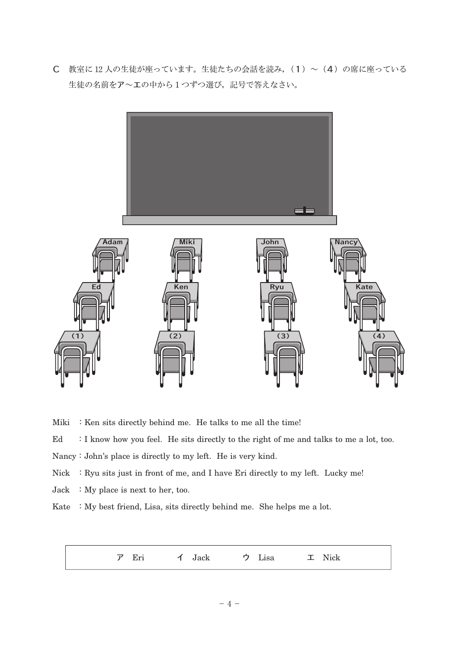$C$  教室に 12 人の生徒が座っています。生徒たちの会話を読み, (1) ~ (4) の席に座っている 生徒の名前をア~エの中から1つずつ選び、記号で答えなさい。



- Miki : Ken sits directly behind me. He talks to me all the time!
- Ed : I know how you feel. He sits directly to the right of me and talks to me a lot, too.
- Nancy:John's place is directly to my left. He is very kind.
- Nick : Ryu sits just in front of me, and I have Eri directly to my left. Lucky me!
- $Jack : My place is next to her, too.$
- Kate : My best friend, Lisa, sits directly behind me. She helps me a lot.

| ア Eri イ Jack ウ Lisa エ Nick |  |  |
|----------------------------|--|--|
|----------------------------|--|--|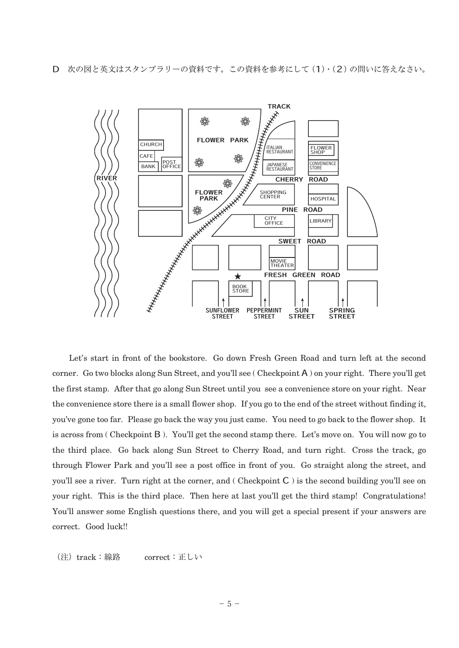D 次の図と英文はスタンプラリーの資料です。この資料を参考にして(1)・(2)の問いに答えなさい。



Let's start in front of the bookstore. Go down Fresh Green Road and turn left at the second corner. Go two blocks along Sun Street, and you'll see ( Checkpoint A ) on your right. There you'll get the first stamp. After that go along Sun Street until you see a convenience store on your right. Near the convenience store there is a small flower shop. If you go to the end of the street without finding it, you've gone too far. Please go back the way you just came. You need to go back to the flower shop. It is across from ( Checkpoint B ). You'll get the second stamp there. Let's move on. You will now go to the third place. Go back along Sun Street to Cherry Road, and turn right. Cross the track, go through Flower Park and you'll see a post office in front of you. Go straight along the street, and you'll see a river. Turn right at the corner, and (Checkpoint  $C$ ) is the second building you'll see on your right. This is the third place. Then here at last you'll get the third stamp! Congratulations! You'll answer some English questions there, and you will get a special present if your answers are correct. Good luck!!

(注) track:線路 correct:正しい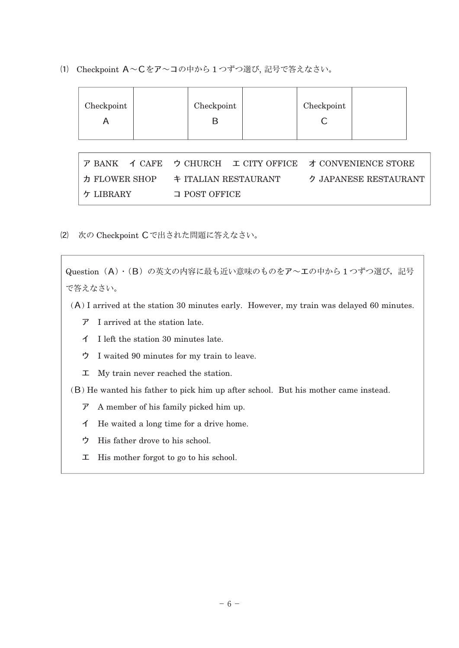⑴ Checkpoint A~Cをア~コの中から 1 つずつ選び, 記号で答えなさい。

| Checkpoint | Checkpoint<br>B | Checkpoint |                                                          |
|------------|-----------------|------------|----------------------------------------------------------|
|            |                 |            |                                                          |
|            |                 |            | ア BANK イ CAFE ウ CHURCH エ CITY OFFICE オ CONVENIENCE STORE |

カ FLOWER SHOP キ ITALIAN RESTAURANT ク JAPANESE RESTAURANT ケ LIBRARY コ POST OFFICE

⑵ 次の Checkpoint Cで出された問題に答えなさい。

Question (A)·(B)の英文の内容に最も近い意味のものをア~エの中から 1 つずつ選び, 記号 で答えなさい。

(A) I arrived at the station 30 minutes early. However, my train was delayed 60 minutes.

- ア I arrived at the station late.
- イ I left the station 30 minutes late.
- ウ I waited 90 minutes for my train to leave.
- エ My train never reached the station.

(B) He wanted his father to pick him up after school. But his mother came instead.

- ア A member of his family picked him up.
- イ He waited a long time for a drive home.
- ウ His father drove to his school.
- エ His mother forgot to go to his school.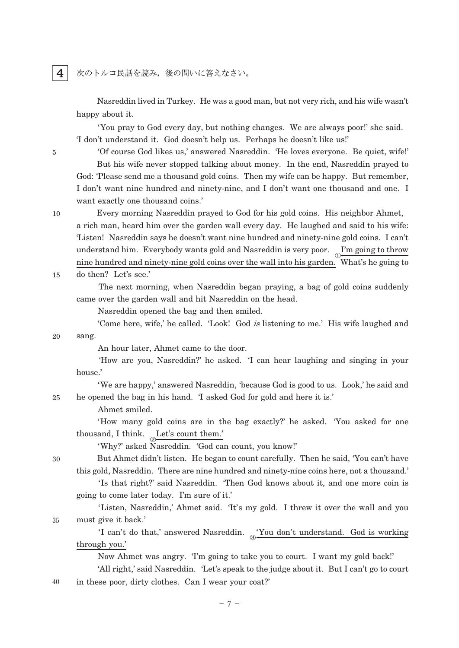## $4$  次のトルコ民話を読み、後の問いに答えなさい。

Nasreddin lived in Turkey. He was a good man, but not very rich, and his wife wasn't happy about it.

'You pray to God every day, but nothing changes. We are always poor!' she said. 'I don't understand it. God doesn't help us. Perhaps he doesn't like us!'

'Of course God likes us,' answered Nasreddin. 'He loves everyone. Be quiet, wife!' But his wife never stopped talking about money. In the end, Nasreddin prayed to God: 'Please send me a thousand gold coins. Then my wife can be happy. But remember, I don't want nine hundred and ninety-nine, and I don't want one thousand and one. I want exactly one thousand coins.'

Every morning Nasreddin prayed to God for his gold coins. His neighbor Ahmet, a rich man, heard him over the garden wall every day. He laughed and said to his wife: 'Listen! Nasreddin says he doesn't want nine hundred and ninety-nine gold coins. I can't understand him. Everybody wants gold and Nasreddin is very poor.  $\lim_{x\to 0} \frac{\text{p}_\text{norm}}{\text{p}_\text{norm}}$ nine hundred and ninety-nine gold coins over the wall into his garden. What's he going to

do then? Let's see.' 15

> The next morning, when Nasreddin began praying, a bag of gold coins suddenly came over the garden wall and hit Nasreddin on the head.

Nasreddin opened the bag and then smiled.

'Come here, wife,' he called. 'Look! God is listening to me.' His wife laughed and sang.

20

25

30

35

40

An hour later, Ahmet came to the door.

'How are you, Nasreddin?' he asked. 'I can hear laughing and singing in your house.'

'We are happy,' answered Nasreddin, 'because God is good to us. Look,' he said and he opened the bag in his hand. 'I asked God for gold and here it is.'

Ahmet smiled.

'How many gold coins are in the bag exactly?' he asked. 'You asked for one thousand, I think.  $\mathbb{Q}$  Let's count them.

'Why?' asked Nasreddin. 'God can count, you know!'

But Ahmet didn't listen. He began to count carefully. Then he said, 'You can't have this gold, Nasreddin. There are nine hundred and ninety-nine coins here, not a thousand.'

'Is that right?' said Nasreddin. 'Then God knows about it, and one more coin is going to come later today. I'm sure of it.'

'Listen, Nasreddin,' Ahmet said. 'It's my gold. I threw it over the wall and you must give it back.'

'I can't do that,' answered Nasreddin. ③'You don't understand. God is working through you.'

Now Ahmet was angry. 'I'm going to take you to court. I want my gold back!'

'All right,' said Nasreddin. 'Let's speak to the judge about it. But I can't go to court in these poor, dirty clothes. Can I wear your coat?'

 $- 7 -$ 

5

10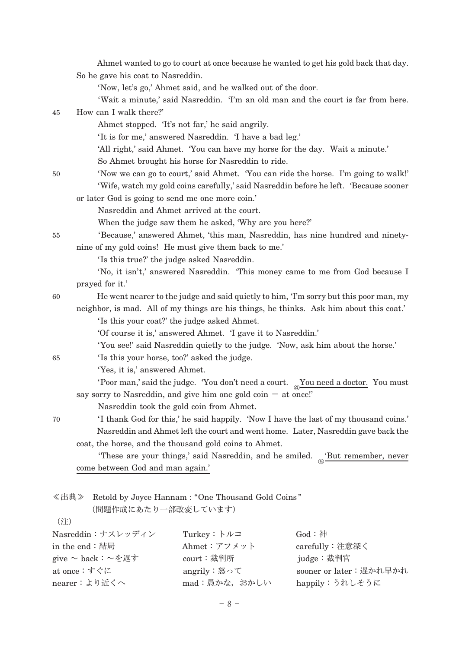|    | Ahmet wanted to go to court at once because he wanted to get his gold back that day.             |
|----|--------------------------------------------------------------------------------------------------|
|    | So he gave his coat to Nasreddin.                                                                |
|    | 'Now, let's go,' Ahmet said, and he walked out of the door.                                      |
|    | 'Wait a minute,' said Nasreddin. 'I'm an old man and the court is far from here.                 |
| 45 | How can I walk there?'                                                                           |
|    | Ahmet stopped. 'It's not far,' he said angrily.                                                  |
|    | 'It is for me,' answered Nasreddin. 'I have a bad leg.'                                          |
|    | 'All right,' said Ahmet. You can have my horse for the day. Wait a minute.'                      |
|    | So Ahmet brought his horse for Nasreddin to ride.                                                |
| 50 | 'Now we can go to court,' said Ahmet. 'You can ride the horse. I'm going to walk!'               |
|    | 'Wife, watch my gold coins carefully,' said Nasreddin before he left. 'Because sooner            |
|    | or later God is going to send me one more coin.'                                                 |
|    | Nasreddin and Ahmet arrived at the court.                                                        |
|    | When the judge saw them he asked, 'Why are you here?'                                            |
| 55 | 'Because,' answered Ahmet, 'this man, Nasreddin, has nine hundred and ninety-                    |
|    | nine of my gold coins! He must give them back to me.'                                            |
|    | 'Is this true?' the judge asked Nasreddin.                                                       |
|    | 'No, it isn't,' answered Nasreddin. This money came to me from God because I                     |
|    | prayed for it.'                                                                                  |
| 60 | He went nearer to the judge and said quietly to him, 'I'm sorry but this poor man, my            |
|    | neighbor, is mad. All of my things are his things, he thinks. Ask him about this coat.           |
|    | 'Is this your coat?' the judge asked Ahmet.                                                      |
|    | 'Of course it is,' answered Ahmet. 'I gave it to Nasreddin.'                                     |
|    | 'You see!' said Nasreddin quietly to the judge. 'Now, ask him about the horse.'                  |
| 65 | 'Is this your horse, too?' asked the judge.                                                      |
|    | 'Yes, it is,' answered Ahmet.                                                                    |
|    | 'Poor man,' said the judge. 'You don't need a court. $\sum_{\alpha}$ You need a doctor. You must |
|    | say sorry to Nasreddin, and give him one gold coin $-$ at once!'                                 |
|    | Nasreddin took the gold coin from Ahmet.                                                         |
| 70 | 'I thank God for this,' he said happily. 'Now I have the last of my thousand coins.'             |
|    | Nasreddin and Ahmet left the court and went home. Later, Nasreddin gave back the                 |
|    | coat, the horse, and the thousand gold coins to Ahmet.                                           |
|    | 'These are your things,' said Nasreddin, and he smiled. $\int_{\odot}$ But remember, never       |
|    | come between God and man again.'                                                                 |

≪出典≫ Retold by Joyce Hannam : "One Thousand Gold Coins " (問題作成にあたり一部改変しています)

(注)

| Nasreddin: ナスレッディン            | Turkey: トルコ  | God: 神                  |
|-------------------------------|--------------|-------------------------|
| in the end:結局                 | Ahmet:アフメット  | carefully:注意深く          |
| give $\sim$ back : $\sim$ を返す | court:裁判所    | judge:裁判官               |
| at once:すぐに                   | angrily:怒って  | sooner or later: 遅かれ早かれ |
| nearer:より近くへ                  | mad:愚かな、おかしい | happily:うれしそうに          |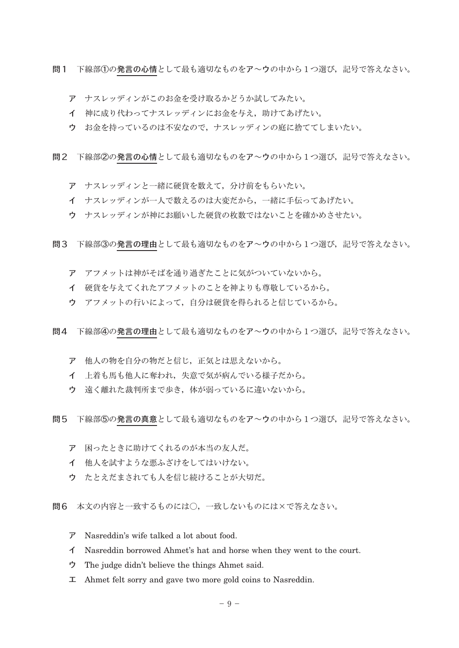- 問1 下線部①の発言の心情として最も適切なものをア~ウの中から1つ選び,記号で答えなさい。
	- ア ナスレッディンがこのお金を受け取るかどうか試してみたい。
	- イ 神に成り代わってナスレッディンにお金を与え,助けてあげたい。
	- ウ お金を持っているのは不安なので,ナスレッディンの庭に捨ててしまいたい。
- 問2 下線部②の発言の心情として最も適切なものをア~ウの中から1つ選び,記号で答えなさい。
	- ア ナスレッディンと一緒に硬貨を数えて,分け前をもらいたい。
	- イ ナスレッディンが一人で数えるのは大変だから,一緒に手伝ってあげたい。
	- ウ ナスレッディンが神にお願いした硬貨の枚数ではないことを確かめさせたい。
- 問3 下線部③の発言の理由として最も適切なものをア~ウの中から1つ選び,記号で答えなさい。
	- ア アフメットは神がそばを通り過ぎたことに気がついていないから。
	- イ 硬貨を与えてくれたアフメットのことを神よりも尊敬しているから。
	- ウ アフメットの行いによって,自分は硬貨を得られると信じているから。
- 問4 下線部④の発言の理由として最も適切なものをア~ウの中から1つ選び,記号で答えなさい。
	- ア 他人の物を自分の物だと信じ、正気とは思えないから。
	- イ 上着も馬も他人に奪われ,失意で気が病んでいる様子だから。
	- ウ 遠く離れた裁判所まで歩き,体が弱っているに違いないから。
- 問5 下線部⑤の発言の真意として最も適切なものをア~ウの中から1つ選び,記号で答えなさい。
	- ア 困ったときに助けてくれるのが本当の友人だ。
	- イ 他人を試すような悪ふざけをしてはいけない。
	- ウ たとえだまされても人を信じ続けることが大切だ。

問6 本文の内容と一致するものには〇,一致しないものには×で答えなさい。

- ア Nasreddin's wife talked a lot about food.
- イ Nasreddin borrowed Ahmet's hat and horse when they went to the court.
- ウ The judge didn't believe the things Ahmet said.
- エ Ahmet felt sorry and gave two more gold coins to Nasreddin.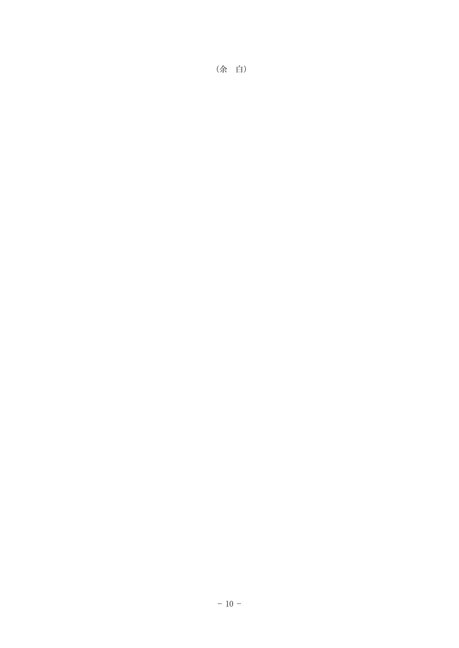(余 白)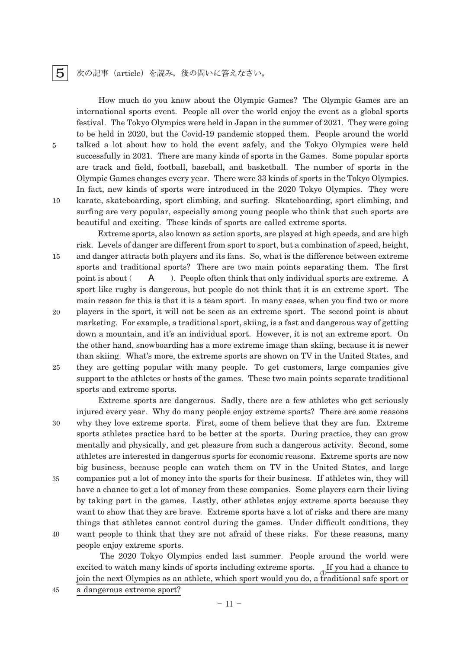## 次の記事(article)を読み,後の問いに答えなさい。

How much do you know about the Olympic Games? The Olympic Games are an international sports event. People all over the world enjoy the event as a global sports festival. The Tokyo Olympics were held in Japan in the summer of 2021. They were going to be held in 2020, but the Covid-19 pandemic stopped them. People around the world talked a lot about how to hold the event safely, and the Tokyo Olympics were held successfully in 2021. There are many kinds of sports in the Games. Some popular sports are track and field, football, baseball, and basketball. The number of sports in the Olympic Games changes every year. There were 33 kinds of sports in the Tokyo Olympics. In fact, new kinds of sports were introduced in the 2020 Tokyo Olympics. They were karate, skateboarding, sport climbing, and surfing. Skateboarding, sport climbing, and surfing are very popular, especially among young people who think that such sports are beautiful and exciting. These kinds of sports are called extreme sports.

Extreme sports, also known as action sports, are played at high speeds, and are high risk. Levels of danger are different from sport to sport, but a combination of speed, height, and danger attracts both players and its fans. So, what is the difference between extreme sports and traditional sports? There are two main points separating them. The first point is about ( A ). People often think that only individual sports are extreme. A sport like rugby is dangerous, but people do not think that it is an extreme sport. The main reason for this is that it is a team sport. In many cases, when you find two or more players in the sport, it will not be seen as an extreme sport. The second point is about marketing. For example, a traditional sport, skiing, is a fast and dangerous way of getting down a mountain, and it's an individual sport. However, it is not an extreme sport. On the other hand, snowboarding has a more extreme image than skiing, because it is newer than skiing. What's more, the extreme sports are shown on TV in the United States, and they are getting popular with many people. To get customers, large companies give support to the athletes or hosts of the games. These two main points separate traditional sports and extreme sports. 15 20 25

30

5

5

10

injured every year. Why do many people enjoy extreme sports? There are some reasons why they love extreme sports. First, some of them believe that they are fun. Extreme sports athletes practice hard to be better at the sports. During practice, they can grow mentally and physically, and get pleasure from such a dangerous activity. Second, some athletes are interested in dangerous sports for economic reasons. Extreme sports are now big business, because people can watch them on TV in the United States, and large companies put a lot of money into the sports for their business. If athletes win, they will have a chance to get a lot of money from these companies. Some players earn their living by taking part in the games. Lastly, other athletes enjoy extreme sports because they want to show that they are brave. Extreme sports have a lot of risks and there are many things that athletes cannot control during the games. Under difficult conditions, they want people to think that they are not afraid of these risks. For these reasons, many people enjoy extreme sports. 35 40

Extreme sports are dangerous. Sadly, there are a few athletes who get seriously

The 2020 Tokyo Olympics ended last summer. People around the world were excited to watch many kinds of sports including extreme sports. If you had a chance to join the next Olympics as an athlete, which sport would you do, a traditional safe sport or

a dangerous extreme sport? 45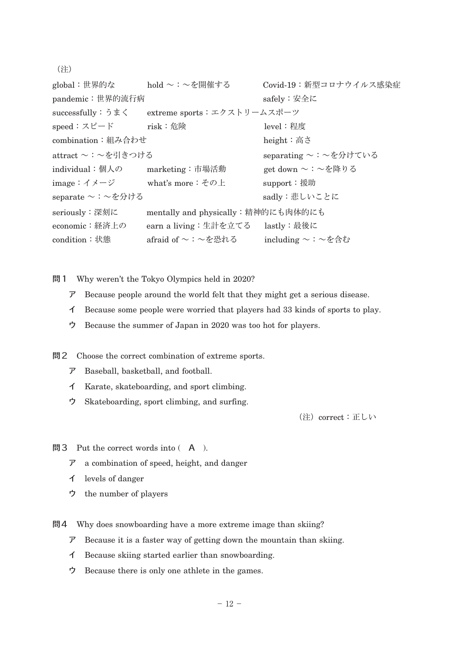(注)

```
global:世界的な hold ~:~を開催する Covid-19:新型コロナウイルス感染症
pandemic:世界的流行病 safely:安全に
successfully:うまく extreme sports:エクストリームスポーツ
speed:スピード risk:危険 level:程度
combination: 組み合わせ height: 高さ
attract ~:~を引きつける separating ~:~を分けている
individual:個人の marketing:市場活動 get down ~:~を降りる
image: イメージ what's more: その上 support: 援助
separate ~:~を分ける sadly:悲しいことに
seriously:深刻に mentally and physically:精神的にも肉体的にも
economic:経済上の earn a living:生計を立てる lastly:最後に
condition:状態 afraid of \sim:~を恐れる including \sim:~を含む
```
問1 Why weren't the Tokyo Olympics held in 2020?

- ア Because people around the world felt that they might get a serious disease.
- イ Because some people were worried that players had 33 kinds of sports to play.
- ウ Because the summer of Japan in 2020 was too hot for players.

問2 Choose the correct combination of extreme sports.

- ア Baseball, basketball, and football.
- イ Karate, skateboarding, and sport climbing.
- ウ Skateboarding, sport climbing, and surfing.

(注) correct: 正しい

- 問3 Put the correct words into  $(A)$ .
	- ア a combination of speed, height, and danger
	- イ levels of danger
	- ウ the number of players
- 間4 Why does snowboarding have a more extreme image than skiing?
	- $\nabla$  Because it is a faster way of getting down the mountain than skiing.
	- イ Because skiing started earlier than snowboarding.
	- ウ Because there is only one athlete in the games.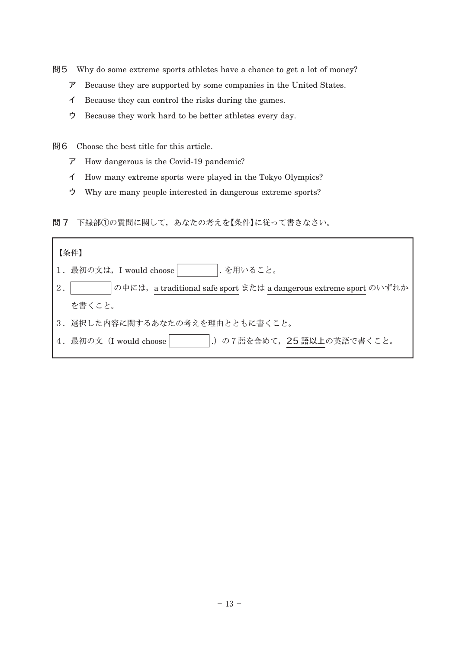問5 Why do some extreme sports athletes have a chance to get a lot of money?

- ア Because they are supported by some companies in the United States.
- イ Because they can control the risks during the games.
- ウ Because they work hard to be better athletes every day.

問6 Choose the best title for this article.

- ア How dangerous is the Covid-19 pandemic?
- イ How many extreme sports were played in the Tokyo Olympics?
- ウ Why are many people interested in dangerous extreme sports?

問 7 下線部①の質問に関して,あなたの考えを【条件】に従って書きなさい。

| 【条件】 |                                                                   |  |  |  |
|------|-------------------------------------------------------------------|--|--|--|
|      | 1. 最初の文は, I would choose<br>.を用いること。                              |  |  |  |
| 2.   | の中には、a traditional safe sport または a dangerous extreme sport のいずれか |  |  |  |
|      | を書くこと。                                                            |  |  |  |
|      | 3. 選択した内容に関するあなたの考えを理由とともに書くこと。                                   |  |  |  |
|      | .) の7語を含めて、25語以上の英語で書くこと。<br>4. 最初の文 (I would choose              |  |  |  |